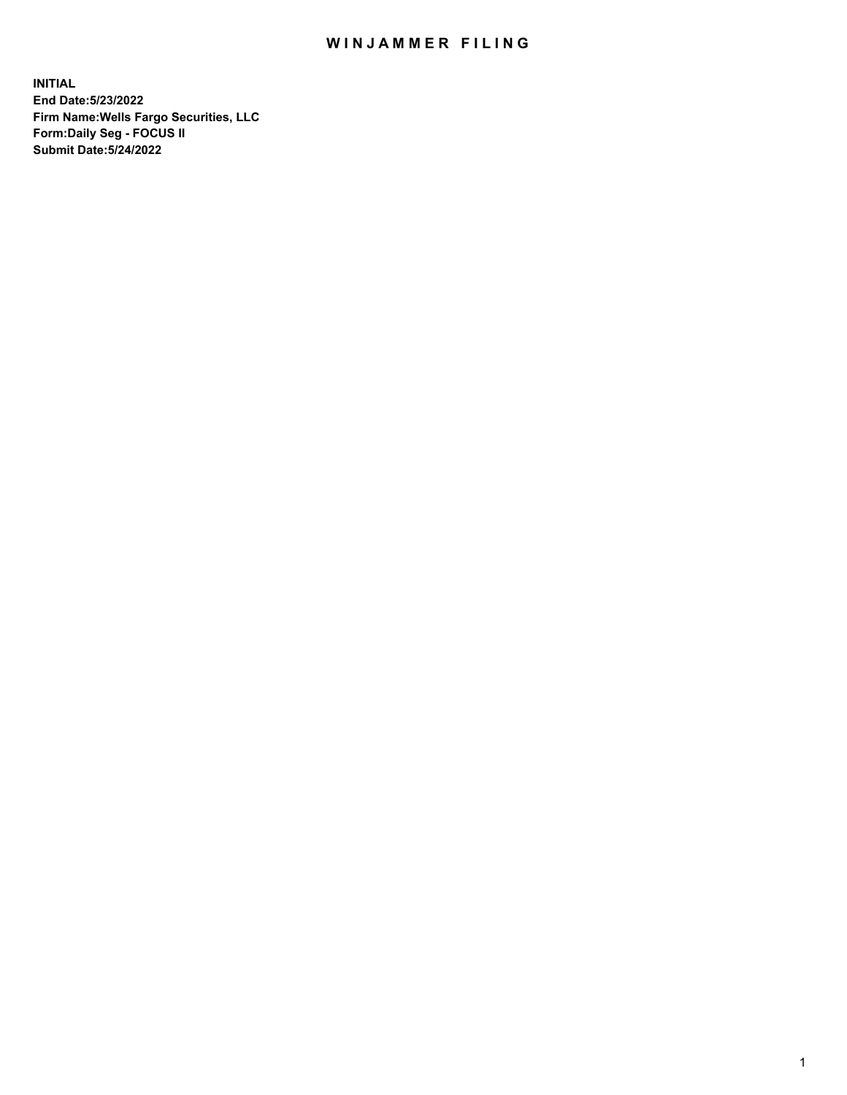## WIN JAMMER FILING

**INITIAL End Date:5/23/2022 Firm Name:Wells Fargo Securities, LLC Form:Daily Seg - FOCUS II Submit Date:5/24/2022**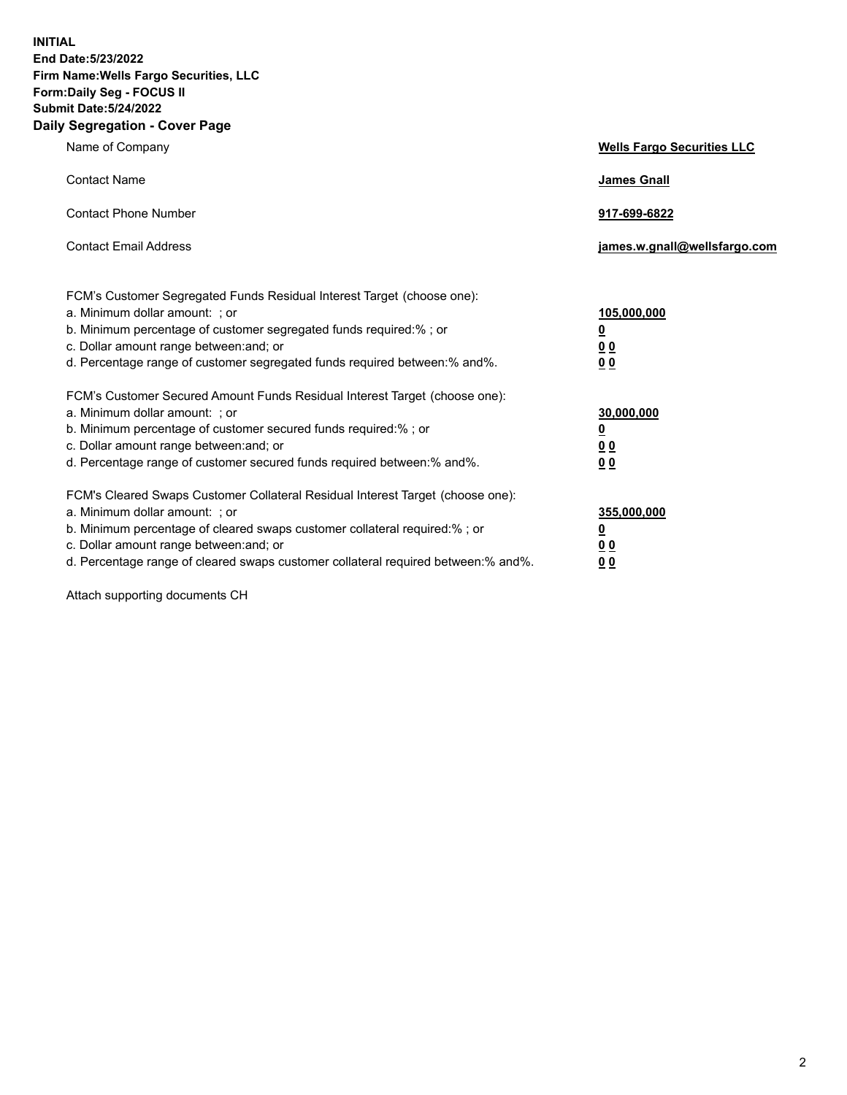**INITIAL End Date:5/23/2022 Firm Name:Wells Fargo Securities, LLC Form:Daily Seg - FOCUS II Submit Date:5/24/2022 Daily Segregation - Cover Page**

| Name of Company                                                                                                                                                                                                                                                                                                                | <b>Wells Fargo Securities LLC</b>                          |
|--------------------------------------------------------------------------------------------------------------------------------------------------------------------------------------------------------------------------------------------------------------------------------------------------------------------------------|------------------------------------------------------------|
| <b>Contact Name</b>                                                                                                                                                                                                                                                                                                            | <b>James Gnall</b>                                         |
| <b>Contact Phone Number</b>                                                                                                                                                                                                                                                                                                    | 917-699-6822                                               |
| <b>Contact Email Address</b>                                                                                                                                                                                                                                                                                                   | james.w.gnall@wellsfargo.com                               |
| FCM's Customer Segregated Funds Residual Interest Target (choose one):<br>a. Minimum dollar amount: ; or<br>b. Minimum percentage of customer segregated funds required:% ; or<br>c. Dollar amount range between: and; or<br>d. Percentage range of customer segregated funds required between:% and%.                         | 105,000,000<br><u>0</u><br>0 <sub>0</sub><br>00            |
| FCM's Customer Secured Amount Funds Residual Interest Target (choose one):<br>a. Minimum dollar amount: ; or<br>b. Minimum percentage of customer secured funds required:%; or<br>c. Dollar amount range between: and; or<br>d. Percentage range of customer secured funds required between:% and%.                            | 30,000,000<br><u>0</u><br>0 <sub>0</sub><br>0 <sub>0</sub> |
| FCM's Cleared Swaps Customer Collateral Residual Interest Target (choose one):<br>a. Minimum dollar amount: ; or<br>b. Minimum percentage of cleared swaps customer collateral required:% ; or<br>c. Dollar amount range between: and; or<br>d. Percentage range of cleared swaps customer collateral required between:% and%. | 355,000,000<br><u>0</u><br>00<br>00                        |

Attach supporting documents CH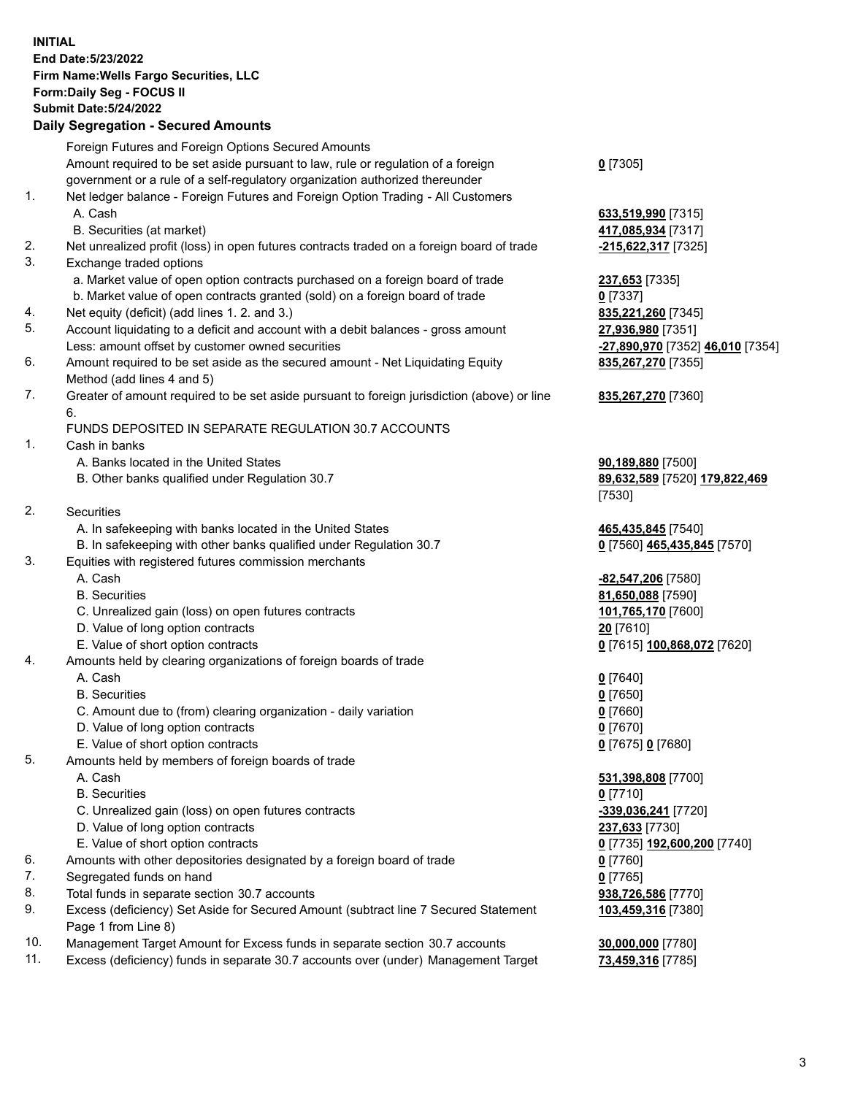**INITIAL End Date:5/23/2022 Firm Name:Wells Fargo Securities, LLC Form:Daily Seg - FOCUS II Submit Date:5/24/2022**

## **Daily Segregation - Secured Amounts**

|     | Foreign Futures and Foreign Options Secured Amounts                                                          |                                  |
|-----|--------------------------------------------------------------------------------------------------------------|----------------------------------|
|     | Amount required to be set aside pursuant to law, rule or regulation of a foreign                             | $0$ [7305]                       |
|     | government or a rule of a self-regulatory organization authorized thereunder                                 |                                  |
| 1.  | Net ledger balance - Foreign Futures and Foreign Option Trading - All Customers                              |                                  |
|     | A. Cash                                                                                                      | 633,519,990 [7315]               |
|     | B. Securities (at market)                                                                                    | 417,085,934 [7317]               |
| 2.  | Net unrealized profit (loss) in open futures contracts traded on a foreign board of trade                    | -215,622,317 [7325]              |
| 3.  | Exchange traded options                                                                                      |                                  |
|     | a. Market value of open option contracts purchased on a foreign board of trade                               | 237,653 [7335]                   |
|     | b. Market value of open contracts granted (sold) on a foreign board of trade                                 | $0$ [7337]                       |
| 4.  | Net equity (deficit) (add lines 1. 2. and 3.)                                                                | 835,221,260 [7345]               |
| 5.  | Account liquidating to a deficit and account with a debit balances - gross amount                            |                                  |
|     |                                                                                                              | 27,936,980 [7351]                |
| 6.  | Less: amount offset by customer owned securities                                                             | -27,890,970 [7352] 46,010 [7354] |
|     | Amount required to be set aside as the secured amount - Net Liquidating Equity<br>Method (add lines 4 and 5) | 835,267,270 [7355]               |
| 7.  | Greater of amount required to be set aside pursuant to foreign jurisdiction (above) or line                  | 835,267,270 [7360]               |
|     | 6.                                                                                                           |                                  |
|     | FUNDS DEPOSITED IN SEPARATE REGULATION 30.7 ACCOUNTS                                                         |                                  |
| 1.  | Cash in banks                                                                                                |                                  |
|     | A. Banks located in the United States                                                                        | 90,189,880 [7500]                |
|     | B. Other banks qualified under Regulation 30.7                                                               | 89,632,589 [7520] 179,822,469    |
|     |                                                                                                              | [7530]                           |
| 2.  | Securities                                                                                                   |                                  |
|     | A. In safekeeping with banks located in the United States                                                    | 465,435,845 [7540]               |
|     | B. In safekeeping with other banks qualified under Regulation 30.7                                           | 0 [7560] 465,435,845 [7570]      |
| 3.  | Equities with registered futures commission merchants                                                        |                                  |
|     | A. Cash                                                                                                      | -82,547,206 [7580]               |
|     | <b>B.</b> Securities                                                                                         | 81,650,088 [7590]                |
|     | C. Unrealized gain (loss) on open futures contracts                                                          | 101,765,170 [7600]               |
|     | D. Value of long option contracts                                                                            | 20 [7610]                        |
|     | E. Value of short option contracts                                                                           | 0 [7615] 100,868,072 [7620]      |
| 4.  | Amounts held by clearing organizations of foreign boards of trade                                            |                                  |
|     | A. Cash                                                                                                      | $0$ [7640]                       |
|     | <b>B.</b> Securities                                                                                         | $0$ [7650]                       |
|     | C. Amount due to (from) clearing organization - daily variation                                              | $0$ [7660]                       |
|     | D. Value of long option contracts                                                                            | $0$ [7670]                       |
|     | E. Value of short option contracts                                                                           | 0 [7675] 0 [7680]                |
| 5.  | Amounts held by members of foreign boards of trade                                                           |                                  |
|     | A. Cash                                                                                                      | 531,398,808 [7700]               |
|     | <b>B.</b> Securities                                                                                         | 0 [7710]                         |
|     | C. Unrealized gain (loss) on open futures contracts                                                          | -339,036,241 [7720]              |
|     | D. Value of long option contracts                                                                            | 237,633 [7730]                   |
|     | E. Value of short option contracts                                                                           | 0 [7735] 192,600,200 [7740]      |
| 6.  | Amounts with other depositories designated by a foreign board of trade                                       | $0$ [7760]                       |
| 7.  | Segregated funds on hand                                                                                     | $0$ [7765]                       |
| 8.  | Total funds in separate section 30.7 accounts                                                                | 938,726,586 [7770]               |
| 9.  | Excess (deficiency) Set Aside for Secured Amount (subtract line 7 Secured Statement                          | 103,459,316 [7380]               |
|     | Page 1 from Line 8)                                                                                          |                                  |
| 10. | Management Target Amount for Excess funds in separate section 30.7 accounts                                  | 30,000,000 [7780]                |

11. Excess (deficiency) funds in separate 30.7 accounts over (under) Management Target **73,459,316** [7785]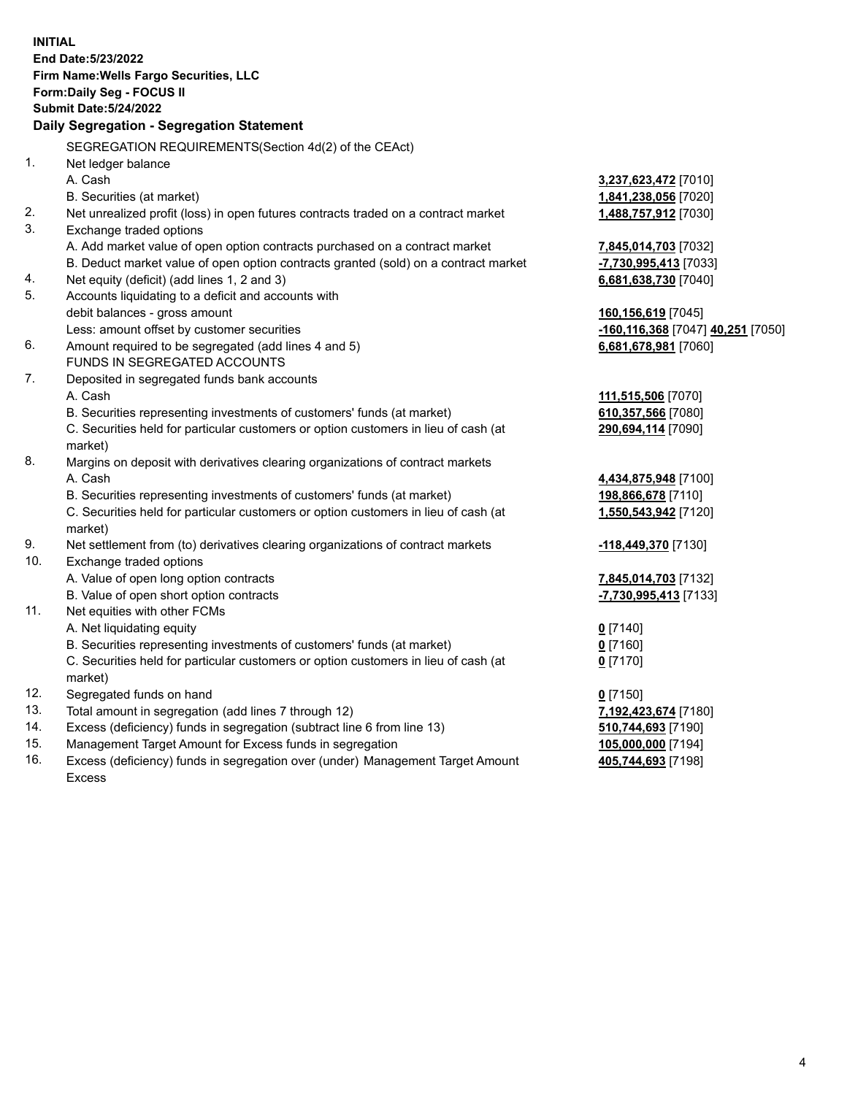**INITIAL End Date:5/23/2022 Firm Name:Wells Fargo Securities, LLC Form:Daily Seg - FOCUS II Submit Date:5/24/2022 Daily Segregation - Segregation Statement** SEGREGATION REQUIREMENTS(Section 4d(2) of the CEAct) 1. Net ledger balance A. Cash **3,237,623,472** [7010] B. Securities (at market) **1,841,238,056** [7020] 2. Net unrealized profit (loss) in open futures contracts traded on a contract market **1,488,757,912** [7030] 3. Exchange traded options A. Add market value of open option contracts purchased on a contract market **7,845,014,703** [7032] B. Deduct market value of open option contracts granted (sold) on a contract market **-7,730,995,413** [7033] 4. Net equity (deficit) (add lines 1, 2 and 3) **6,681,638,730** [7040] 5. Accounts liquidating to a deficit and accounts with debit balances - gross amount **160,156,619** [7045] Less: amount offset by customer securities **-160,116,368** [7047] **40,251** [7050] 6. Amount required to be segregated (add lines 4 and 5) **6,681,678,981** [7060] FUNDS IN SEGREGATED ACCOUNTS 7. Deposited in segregated funds bank accounts A. Cash **111,515,506** [7070] B. Securities representing investments of customers' funds (at market) **610,357,566** [7080] C. Securities held for particular customers or option customers in lieu of cash (at market) **290,694,114** [7090] 8. Margins on deposit with derivatives clearing organizations of contract markets A. Cash **4,434,875,948** [7100] B. Securities representing investments of customers' funds (at market) **198,866,678** [7110] C. Securities held for particular customers or option customers in lieu of cash (at market) **1,550,543,942** [7120] 9. Net settlement from (to) derivatives clearing organizations of contract markets **-118,449,370** [7130] 10. Exchange traded options A. Value of open long option contracts **7,845,014,703** [7132] B. Value of open short option contracts **-7,730,995,413** [7133] 11. Net equities with other FCMs A. Net liquidating equity **0** [7140] B. Securities representing investments of customers' funds (at market) **0** [7160] C. Securities held for particular customers or option customers in lieu of cash (at market) **0** [7170] 12. Segregated funds on hand **0** [7150] 13. Total amount in segregation (add lines 7 through 12) **7,192,423,674** [7180] 14. Excess (deficiency) funds in segregation (subtract line 6 from line 13) **510,744,693** [7190] 15. Management Target Amount for Excess funds in segregation **105,000,000** [7194] 16. Excess (deficiency) funds in segregation over (under) Management Target Amount **405,744,693** [7198]

Excess